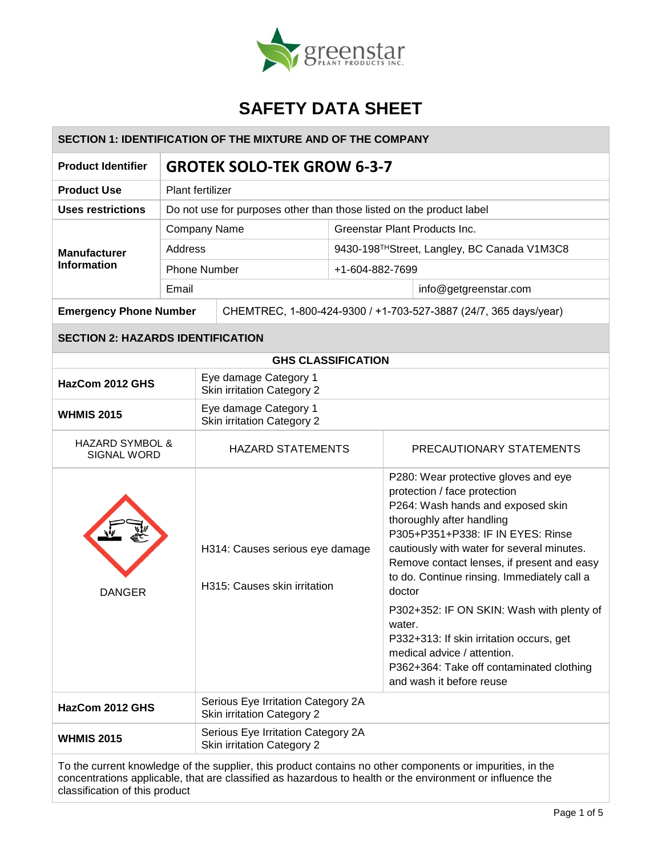

| <b>SECTION 1: IDENTIFICATION OF THE MIXTURE AND OF THE COMPANY</b> |                                                                  |                                                                      |                               |                                                                                                                                                                                                                                                                                                                                  |  |
|--------------------------------------------------------------------|------------------------------------------------------------------|----------------------------------------------------------------------|-------------------------------|----------------------------------------------------------------------------------------------------------------------------------------------------------------------------------------------------------------------------------------------------------------------------------------------------------------------------------|--|
| <b>Product Identifier</b>                                          | <b>GROTEK SOLO-TEK GROW 6-3-7</b>                                |                                                                      |                               |                                                                                                                                                                                                                                                                                                                                  |  |
| <b>Product Use</b>                                                 |                                                                  | Plant fertilizer                                                     |                               |                                                                                                                                                                                                                                                                                                                                  |  |
| <b>Uses restrictions</b>                                           |                                                                  | Do not use for purposes other than those listed on the product label |                               |                                                                                                                                                                                                                                                                                                                                  |  |
|                                                                    | <b>Company Name</b>                                              |                                                                      | Greenstar Plant Products Inc. |                                                                                                                                                                                                                                                                                                                                  |  |
| <b>Manufacturer</b>                                                | <b>Address</b>                                                   |                                                                      |                               | 9430-198THStreet, Langley, BC Canada V1M3C8                                                                                                                                                                                                                                                                                      |  |
| <b>Information</b>                                                 | <b>Phone Number</b>                                              |                                                                      | +1-604-882-7699               |                                                                                                                                                                                                                                                                                                                                  |  |
|                                                                    |                                                                  | Email                                                                |                               | info@getgreenstar.com                                                                                                                                                                                                                                                                                                            |  |
| <b>Emergency Phone Number</b>                                      |                                                                  | CHEMTREC, 1-800-424-9300 / +1-703-527-3887 (24/7, 365 days/year)     |                               |                                                                                                                                                                                                                                                                                                                                  |  |
| <b>SECTION 2: HAZARDS IDENTIFICATION</b>                           |                                                                  |                                                                      |                               |                                                                                                                                                                                                                                                                                                                                  |  |
|                                                                    |                                                                  | <b>GHS CLASSIFICATION</b>                                            |                               |                                                                                                                                                                                                                                                                                                                                  |  |
| HazCom 2012 GHS                                                    |                                                                  | Eye damage Category 1<br><b>Skin irritation Category 2</b>           |                               |                                                                                                                                                                                                                                                                                                                                  |  |
| <b>WHMIS 2015</b>                                                  |                                                                  | Eye damage Category 1<br><b>Skin irritation Category 2</b>           |                               |                                                                                                                                                                                                                                                                                                                                  |  |
| <b>HAZARD SYMBOL &amp;</b><br><b>SIGNAL WORD</b>                   |                                                                  | <b>HAZARD STATEMENTS</b>                                             |                               | PRECAUTIONARY STATEMENTS                                                                                                                                                                                                                                                                                                         |  |
| <b>DANGER</b>                                                      |                                                                  | H314: Causes serious eye damage<br>H315: Causes skin irritation      |                               | P280: Wear protective gloves and eye<br>protection / face protection<br>P264: Wash hands and exposed skin<br>thoroughly after handling<br>P305+P351+P338: IF IN EYES: Rinse<br>cautiously with water for several minutes.<br>Remove contact lenses, if present and easy<br>to do. Continue rinsing. Immediately call a<br>doctor |  |
|                                                                    |                                                                  |                                                                      |                               | P302+352: IF ON SKIN: Wash with plenty of<br>water.<br>P332+313: If skin irritation occurs, get<br>medical advice / attention.<br>P362+364: Take off contaminated clothing<br>and wash it before reuse                                                                                                                           |  |
| HazCom 2012 GHS                                                    |                                                                  | Serious Eye Irritation Category 2A<br>Skin irritation Category 2     |                               |                                                                                                                                                                                                                                                                                                                                  |  |
| <b>WHMIS 2015</b>                                                  | Serious Eye Irritation Category 2A<br>Skin irritation Category 2 |                                                                      |                               |                                                                                                                                                                                                                                                                                                                                  |  |
|                                                                    |                                                                  |                                                                      |                               | reat knowledge of the quaplier, this product contains no other components or impurities, in the                                                                                                                                                                                                                                  |  |

To the current knowledge of the supplier, this product contains no other components or impurities, in the concentrations applicable, that are classified as hazardous to health or the environment or influence the classification of this product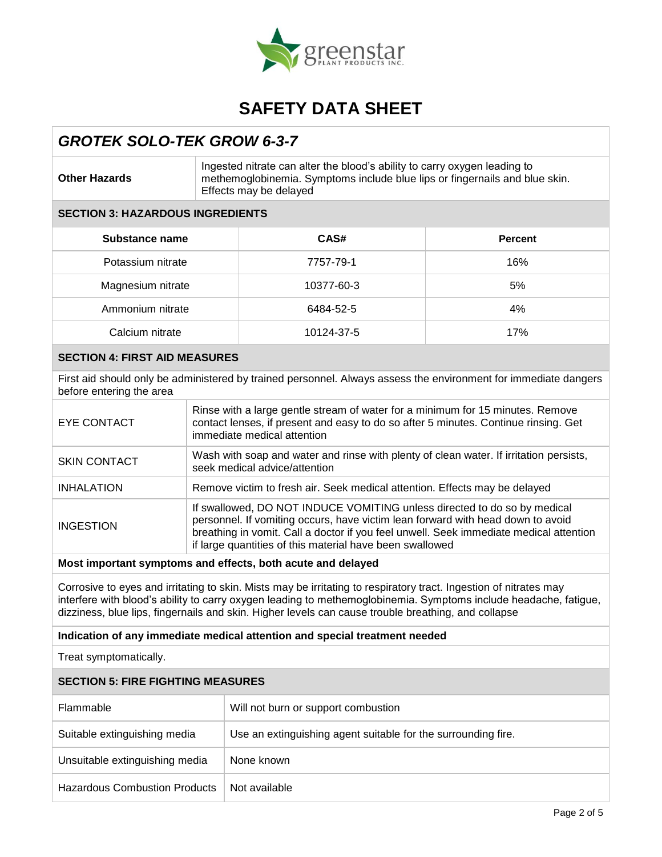

### *GROTEK SOLO-TEK GROW 6-3-7*

**Other Hazards**

Ingested nitrate can alter the blood's ability to carry oxygen leading to methemoglobinemia. Symptoms include blue lips or fingernails and blue skin. Effects may be delayed

#### **SECTION 3: HAZARDOUS INGREDIENTS**

| Substance name    | CAS#       | <b>Percent</b> |
|-------------------|------------|----------------|
| Potassium nitrate | 7757-79-1  | 16%            |
| Magnesium nitrate | 10377-60-3 | 5%             |
| Ammonium nitrate  | 6484-52-5  | 4%             |
| Calcium nitrate   | 10124-37-5 | 17%            |

#### **SECTION 4: FIRST AID MEASURES**

First aid should only be administered by trained personnel. Always assess the environment for immediate dangers before entering the area

| EYE CONTACT         | Rinse with a large gentle stream of water for a minimum for 15 minutes. Remove<br>contact lenses, if present and easy to do so after 5 minutes. Continue rinsing. Get<br>immediate medical attention                                                                                                              |
|---------------------|-------------------------------------------------------------------------------------------------------------------------------------------------------------------------------------------------------------------------------------------------------------------------------------------------------------------|
| <b>SKIN CONTACT</b> | Wash with soap and water and rinse with plenty of clean water. If irritation persists,<br>seek medical advice/attention                                                                                                                                                                                           |
| <b>INHALATION</b>   | Remove victim to fresh air. Seek medical attention. Effects may be delayed                                                                                                                                                                                                                                        |
| <b>INGESTION</b>    | If swallowed, DO NOT INDUCE VOMITING unless directed to do so by medical<br>personnel. If vomiting occurs, have victim lean forward with head down to avoid<br>breathing in vomit. Call a doctor if you feel unwell. Seek immediate medical attention<br>if large quantities of this material have been swallowed |

#### **Most important symptoms and effects, both acute and delayed**

Corrosive to eyes and irritating to skin. Mists may be irritating to respiratory tract. Ingestion of nitrates may interfere with blood's ability to carry oxygen leading to methemoglobinemia. Symptoms include headache, fatigue, dizziness, blue lips, fingernails and skin. Higher levels can cause trouble breathing, and collapse

#### **Indication of any immediate medical attention and special treatment needed**

Treat symptomatically.

#### **SECTION 5: FIRE FIGHTING MEASURES**

| Flammable                            | Will not burn or support combustion                           |
|--------------------------------------|---------------------------------------------------------------|
| Suitable extinguishing media         | Use an extinguishing agent suitable for the surrounding fire. |
| Unsuitable extinguishing media       | None known                                                    |
| <b>Hazardous Combustion Products</b> | Not available                                                 |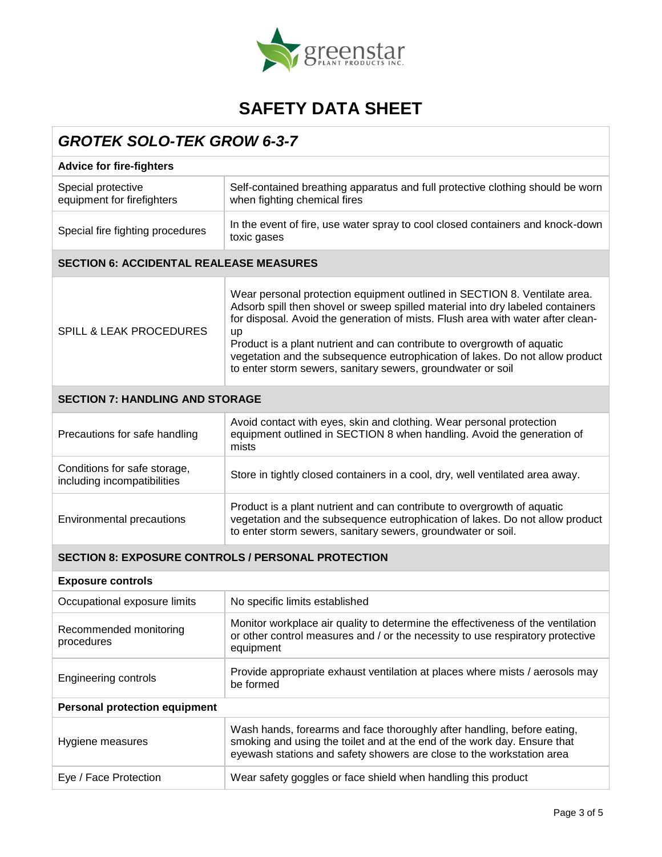

| <b>GROTEK SOLO-TEK GROW 6-3-7</b>                           |                                                                                                                                                                                                                                                                                                                                                                                                                                                                                |  |  |
|-------------------------------------------------------------|--------------------------------------------------------------------------------------------------------------------------------------------------------------------------------------------------------------------------------------------------------------------------------------------------------------------------------------------------------------------------------------------------------------------------------------------------------------------------------|--|--|
| <b>Advice for fire-fighters</b>                             |                                                                                                                                                                                                                                                                                                                                                                                                                                                                                |  |  |
| Special protective<br>equipment for firefighters            | Self-contained breathing apparatus and full protective clothing should be worn<br>when fighting chemical fires                                                                                                                                                                                                                                                                                                                                                                 |  |  |
| Special fire fighting procedures                            | In the event of fire, use water spray to cool closed containers and knock-down<br>toxic gases                                                                                                                                                                                                                                                                                                                                                                                  |  |  |
| <b>SECTION 6: ACCIDENTAL REALEASE MEASURES</b>              |                                                                                                                                                                                                                                                                                                                                                                                                                                                                                |  |  |
| <b>SPILL &amp; LEAK PROCEDURES</b>                          | Wear personal protection equipment outlined in SECTION 8. Ventilate area.<br>Adsorb spill then shovel or sweep spilled material into dry labeled containers<br>for disposal. Avoid the generation of mists. Flush area with water after clean-<br>up<br>Product is a plant nutrient and can contribute to overgrowth of aquatic<br>vegetation and the subsequence eutrophication of lakes. Do not allow product<br>to enter storm sewers, sanitary sewers, groundwater or soil |  |  |
| <b>SECTION 7: HANDLING AND STORAGE</b>                      |                                                                                                                                                                                                                                                                                                                                                                                                                                                                                |  |  |
| Precautions for safe handling                               | Avoid contact with eyes, skin and clothing. Wear personal protection<br>equipment outlined in SECTION 8 when handling. Avoid the generation of<br>mists                                                                                                                                                                                                                                                                                                                        |  |  |
| Conditions for safe storage,<br>including incompatibilities | Store in tightly closed containers in a cool, dry, well ventilated area away.                                                                                                                                                                                                                                                                                                                                                                                                  |  |  |
| <b>Environmental precautions</b>                            | Product is a plant nutrient and can contribute to overgrowth of aquatic<br>vegetation and the subsequence eutrophication of lakes. Do not allow product<br>to enter storm sewers, sanitary sewers, groundwater or soil.                                                                                                                                                                                                                                                        |  |  |
| <b>SECTION 8: EXPOSURE CONTROLS / PERSONAL PROTECTION</b>   |                                                                                                                                                                                                                                                                                                                                                                                                                                                                                |  |  |
| <b>Exposure controls</b>                                    |                                                                                                                                                                                                                                                                                                                                                                                                                                                                                |  |  |
| Occupational exposure limits                                | No specific limits established                                                                                                                                                                                                                                                                                                                                                                                                                                                 |  |  |
| Recommended monitoring<br>procedures                        | Monitor workplace air quality to determine the effectiveness of the ventilation<br>or other control measures and / or the necessity to use respiratory protective<br>equipment                                                                                                                                                                                                                                                                                                 |  |  |
| <b>Engineering controls</b>                                 | Provide appropriate exhaust ventilation at places where mists / aerosols may<br>be formed                                                                                                                                                                                                                                                                                                                                                                                      |  |  |

### **Personal protection equipment**

| Hygiene measures      | Wash hands, forearms and face thoroughly after handling, before eating,<br>smoking and using the toilet and at the end of the work day. Ensure that<br>eyewash stations and safety showers are close to the workstation area |  |  |
|-----------------------|------------------------------------------------------------------------------------------------------------------------------------------------------------------------------------------------------------------------------|--|--|
| Eye / Face Protection | Wear safety goggles or face shield when handling this product                                                                                                                                                                |  |  |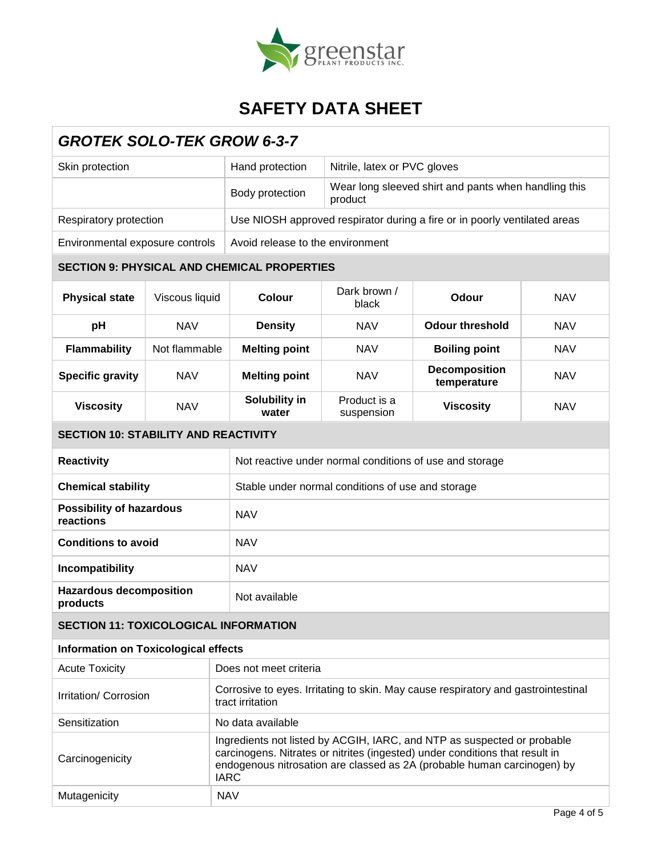

| <b>GROTEK SOLO-TEK GROW 6-3-7</b>            |                |            |                                                                                                                                                                                                                                                   |                                                                 |                                                                           |                            |                  |            |
|----------------------------------------------|----------------|------------|---------------------------------------------------------------------------------------------------------------------------------------------------------------------------------------------------------------------------------------------------|-----------------------------------------------------------------|---------------------------------------------------------------------------|----------------------------|------------------|------------|
| Skin protection                              |                |            | Hand protection                                                                                                                                                                                                                                   | Nitrile, latex or PVC gloves                                    |                                                                           |                            |                  |            |
|                                              |                |            | Body protection                                                                                                                                                                                                                                   | Wear long sleeved shirt and pants when handling this<br>product |                                                                           |                            |                  |            |
| Respiratory protection                       |                |            |                                                                                                                                                                                                                                                   |                                                                 | Use NIOSH approved respirator during a fire or in poorly ventilated areas |                            |                  |            |
| Environmental exposure controls              |                |            | Avoid release to the environment                                                                                                                                                                                                                  |                                                                 |                                                                           |                            |                  |            |
|                                              |                |            | <b>SECTION 9: PHYSICAL AND CHEMICAL PROPERTIES</b>                                                                                                                                                                                                |                                                                 |                                                                           |                            |                  |            |
| <b>Physical state</b>                        | Viscous liquid |            | <b>Colour</b>                                                                                                                                                                                                                                     | Dark brown /<br>black                                           | Odour                                                                     | <b>NAV</b>                 |                  |            |
| pH                                           | <b>NAV</b>     |            | <b>Density</b>                                                                                                                                                                                                                                    | <b>NAV</b>                                                      | <b>Odour threshold</b>                                                    | <b>NAV</b>                 |                  |            |
| <b>Flammability</b>                          | Not flammable  |            | <b>Melting point</b>                                                                                                                                                                                                                              | <b>NAV</b>                                                      | <b>Boiling point</b>                                                      | <b>NAV</b>                 |                  |            |
| <b>Specific gravity</b>                      | <b>NAV</b>     |            | <b>Melting point</b>                                                                                                                                                                                                                              | <b>NAV</b>                                                      | <b>Decomposition</b><br>temperature                                       | <b>NAV</b>                 |                  |            |
| <b>Viscosity</b>                             | <b>NAV</b>     |            |                                                                                                                                                                                                                                                   |                                                                 | Solubility in<br>water                                                    | Product is a<br>suspension | <b>Viscosity</b> | <b>NAV</b> |
| <b>SECTION 10: STABILITY AND REACTIVITY</b>  |                |            |                                                                                                                                                                                                                                                   |                                                                 |                                                                           |                            |                  |            |
| <b>Reactivity</b>                            |                |            | Not reactive under normal conditions of use and storage                                                                                                                                                                                           |                                                                 |                                                                           |                            |                  |            |
| <b>Chemical stability</b>                    |                |            | Stable under normal conditions of use and storage                                                                                                                                                                                                 |                                                                 |                                                                           |                            |                  |            |
| <b>Possibility of hazardous</b><br>reactions |                |            | <b>NAV</b>                                                                                                                                                                                                                                        |                                                                 |                                                                           |                            |                  |            |
| <b>Conditions to avoid</b>                   |                |            | <b>NAV</b>                                                                                                                                                                                                                                        |                                                                 |                                                                           |                            |                  |            |
| Incompatibility                              |                |            | <b>NAV</b>                                                                                                                                                                                                                                        |                                                                 |                                                                           |                            |                  |            |
| <b>Hazardous decomposition</b><br>products   |                |            | Not available                                                                                                                                                                                                                                     |                                                                 |                                                                           |                            |                  |            |
| <b>SECTION 11: TOXICOLOGICAL INFORMATION</b> |                |            |                                                                                                                                                                                                                                                   |                                                                 |                                                                           |                            |                  |            |
| <b>Information on Toxicological effects</b>  |                |            |                                                                                                                                                                                                                                                   |                                                                 |                                                                           |                            |                  |            |
| <b>Acute Toxicity</b>                        |                |            | Does not meet criteria                                                                                                                                                                                                                            |                                                                 |                                                                           |                            |                  |            |
| Irritation/ Corrosion                        |                |            | Corrosive to eyes. Irritating to skin. May cause respiratory and gastrointestinal<br>tract irritation                                                                                                                                             |                                                                 |                                                                           |                            |                  |            |
| Sensitization                                |                |            | No data available                                                                                                                                                                                                                                 |                                                                 |                                                                           |                            |                  |            |
| Carcinogenicity                              |                |            | Ingredients not listed by ACGIH, IARC, and NTP as suspected or probable<br>carcinogens. Nitrates or nitrites (ingested) under conditions that result in<br>endogenous nitrosation are classed as 2A (probable human carcinogen) by<br><b>IARC</b> |                                                                 |                                                                           |                            |                  |            |
| Mutagenicity                                 |                | <b>NAV</b> |                                                                                                                                                                                                                                                   |                                                                 |                                                                           |                            |                  |            |